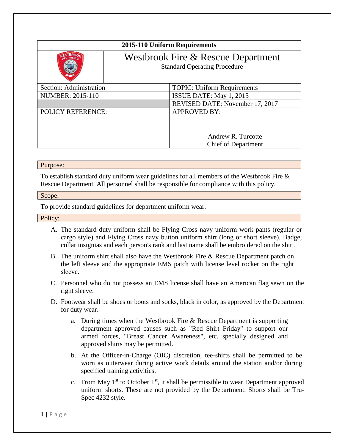| 2015-110 Uniform Requirements |                                                                           |                                                  |
|-------------------------------|---------------------------------------------------------------------------|--------------------------------------------------|
|                               | Westbrook Fire & Rescue Department<br><b>Standard Operating Procedure</b> |                                                  |
| Section: Administration       |                                                                           | <b>TOPIC: Uniform Requirements</b>               |
| <b>NUMBER: 2015-110</b>       |                                                                           | ISSUE DATE: May 1, 2015                          |
|                               |                                                                           | REVISED DATE: November 17, 2017                  |
| <b>POLICY REFERENCE:</b>      |                                                                           | <b>APPROVED BY:</b>                              |
|                               |                                                                           | Andrew R. Turcotte<br><b>Chief of Department</b> |

## Purpose:

To establish standard duty uniform wear guidelines for all members of the Westbrook Fire & Rescue Department. All personnel shall be responsible for compliance with this policy.

## Scope:

To provide standard guidelines for department uniform wear.

Policy:

- A. The standard duty uniform shall be Flying Cross navy uniform work pants (regular or cargo style) and Flying Cross navy button uniform shirt (long or short sleeve). Badge, collar insignias and each person's rank and last name shall be embroidered on the shirt.
- B. The uniform shirt shall also have the Westbrook Fire & Rescue Department patch on the left sleeve and the appropriate EMS patch with license level rocker on the right sleeve.
- C. Personnel who do not possess an EMS license shall have an American flag sewn on the right sleeve.
- D. Footwear shall be shoes or boots and socks, black in color, as approved by the Department for duty wear.
	- a. During times when the Westbrook Fire & Rescue Department is supporting department approved causes such as "Red Shirt Friday" to support our armed forces, "Breast Cancer Awareness", etc. specially designed and approved shirts may be permitted.
	- b. At the Officer-in-Charge (OIC) discretion, tee-shirts shall be permitted to be worn as outerwear during active work details around the station and/or during specified training activities.
	- c. From May  $1<sup>st</sup>$  to October  $1<sup>st</sup>$ , it shall be permissible to wear Department approved uniform shorts. These are not provided by the Department. Shorts shall be Tru-Spec 4232 style.